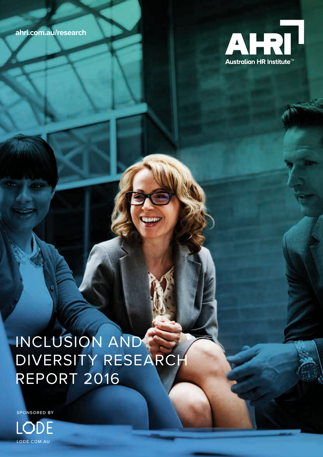**ahri.com.au/research**



# INCLUSION AND DIVERSITY RESEARCH REPORT 2016

SPONSORED BY

LODE.COM.AU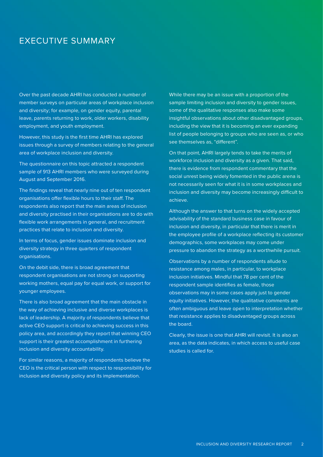# EXECUTIVE SUMMARY

Over the past decade AHRI has conducted a number of member surveys on particular areas of workplace inclusion and diversity; for example, on gender equity, parental leave, parents returning to work, older workers, disability employment, and youth employment.

However, this study is the first time AHRI has explored issues through a survey of members relating to the general area of workplace inclusion and diversity.

The questionnaire on this topic attracted a respondent sample of 913 AHRI members who were surveyed during August and September 2016.

The findings reveal that nearly nine out of ten respondent organisations offer flexible hours to their staff. The respondents also report that the main areas of inclusion and diversity practised in their organisations are to do with flexible work arrangements in general, and recruitment practices that relate to inclusion and diversity.

In terms of focus, gender issues dominate inclusion and diversity strategy in three quarters of respondent organisations.

On the debit side, there is broad agreement that respondent organisations are not strong on supporting working mothers, equal pay for equal work, or support for younger employees.

There is also broad agreement that the main obstacle in the way of achieving inclusive and diverse workplaces is lack of leadership. A majority of respondents believe that active CEO support is critical to achieving success in this policy area, and accordingly they report that winning CEO support is their greatest accomplishment in furthering inclusion and diversity accountability.

For similar reasons, a majority of respondents believe the CEO is the critical person with respect to responsibility for inclusion and diversity policy and its implementation.

While there may be an issue with a proportion of the sample limiting inclusion and diversity to gender issues, some of the qualitative responses also make some insightful observations about other disadvantaged groups, including the view that it is becoming an ever expanding list of people belonging to groups who are seen as, or who see themselves as, "different".

On that point, AHRI largely tends to take the merits of workforce inclusion and diversity as a given. That said, there is evidence from respondent commentary that the social unrest being widely fomented in the public arena is not necessarily seen for what it is in some workplaces and inclusion and diversity may become increasingly difficult to achieve.

Although the answer to that turns on the widely accepted advisability of the standard business case in favour of inclusion and diversity, in particular that there is merit in the employee profile of a workplace reflecting its customer demographics, some workplaces may come under pressure to abandon the strategy as a worthwhile pursuit.

Observations by a number of respondents allude to resistance among males, in particular, to workplace inclusion initiatives. Mindful that 78 per cent of the respondent sample identifies as female, those observations may in some cases apply just to gender equity initiatives. However, the qualitative comments are often ambiguous and leave open to interpretation whether that resistance applies to disadvantaged groups across the board.

Clearly, the issue is one that AHRI will revisit. It is also an area, as the data indicates, in which access to useful case studies is called for.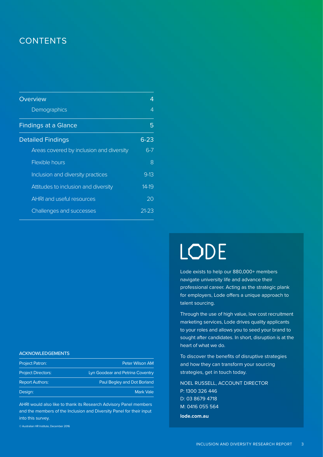# **CONTENTS**

| Overview                                 | 4        |
|------------------------------------------|----------|
| Demographics                             | 4        |
| <b>Findings at a Glance</b>              | 5        |
| <b>Detailed Findings</b>                 | $6 - 23$ |
| Areas covered by inclusion and diversity | $6 - 7$  |
| Flexible hours                           | 8        |
| Inclusion and diversity practices        | $9-13$   |
| Attitudes to inclusion and diversity     | $14-19$  |
| <b>AHRI and useful resources</b>         | 20       |
| Challenges and successes                 | 21-23    |

## **ACKNOWLEDGEMENTS**

| <b>Project Patron:</b>    | Peter Wilson AM                  |
|---------------------------|----------------------------------|
| <b>Project Directors:</b> | Lyn Goodear and Petrina Coventry |
| <b>Report Authors:</b>    | Paul Begley and Dot Borland      |
| Design:                   | <b>Mark Vale</b>                 |

AHRI would also like to thank its Research Advisory Panel members and the members of the Inclusion and Diversity Panel for their input into this survey.

© Australian HR Institute, December 2016

# LODE

navigate university life and advance their professional career. Acting as the strategic plank for employers, Lode offers a unique approach to talent sourcing.

Lode exists to help our 880,000+ members<br>navigate university life and advance their<br>professional career. Acting as the strategic plank<br>for employers, Lode offers a unique approach to<br>talent sourcing.<br>Through the use of hig Through the use of high value, low cost recruitment marketing services, Lode drives quality applicants to your roles and allows you to seed your brand to sought after candidates. In short, disruption is at the heart of what we do.

To discover the benefits of disruptive strategies and how they can transform your sourcing strategies, get in touch today.

NOEL RUSSELL, ACCOUNT DIRECTOR P: 1300 326 446 D: 03 8679 4718 M: 0416 055 564 **lode.com.au**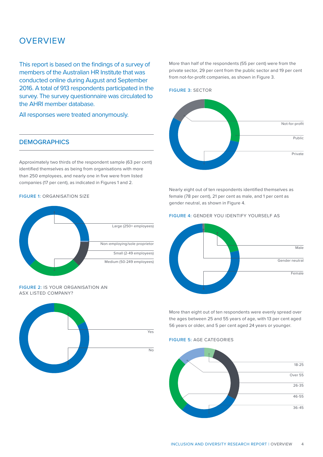# **OVERVIEW**

This report is based on the findings of a survey of members of the Australian HR Institute that was conducted online during August and September 2016. A total of 913 respondents participated in the survey. The survey questionnaire was circulated to the AHRI member database.

All responses were treated anonymously.

# **DEMOGRAPHICS**

Approximately two thirds of the respondent sample (63 per cent) identified themselves as being from organisations with more than 250 employees, and nearly one in five were from listed companies (17 per cent), as indicated in Figures 1 and 2.

## FIGURE 1: ORGANISATION SIZE



#### FIGURE 2: IS YOUR ORGANISATION AN ASX LISTED COMPANY?



More than half of the respondents (55 per cent) were from the private sector, 29 per cent from the public sector and 19 per cent from not-for-profit companies, as shown in Figure 3.

# FIGURE 3: SECTOR



Nearly eight out of ten respondents identified themselves as female (78 per cent), 21 per cent as male, and 1 per cent as gender neutral, as shown in Figure 4.

## FIGURE 4: GENDER YOU IDENTIFY YOURSELF AS



More than eight out of ten respondents were evenly spread over the ages between 25 and 55 years of age, with 13 per cent aged 56 years or older, and 5 per cent aged 24 years or younger.

# FIGURE 5: AGE CATEGORIES

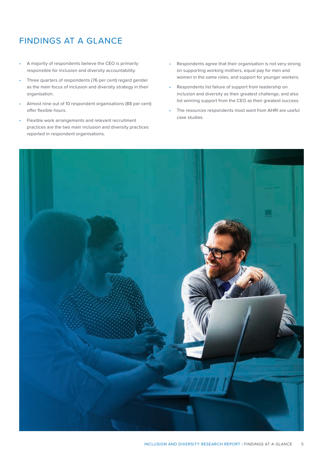# FINDINGS AT A GLANCE

- A majority of respondents believe the CEO is primarily responsible for inclusion and diversity accountability.
- Three quarters of respondents (76 per cent) regard gender as the main focus of inclusion and diversity strategy in their organisation.
- Almost nine out of 10 respondent organisations (88 per cent) offer flexible hours.
- Flexible work arrangements and relevant recruitment practices are the two main inclusion and diversity practices reported in respondent organisations.
- Respondents agree that their organisation is not very strong on supporting working mothers, equal pay for men and women in the same roles, and support for younger workers.
- Respondents list failure of support from leadership on inclusion and diversity as their greatest challenge, and also list winning support from the CEO as their greatest success.
- The resources respondents most want from AHRI are useful case studies.

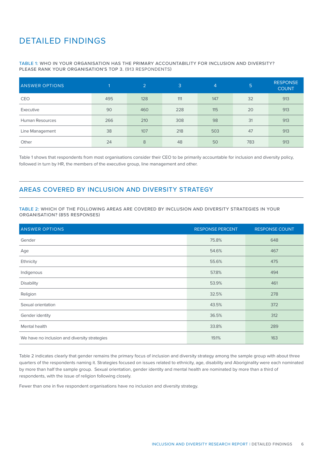# DETAILED FINDINGS

# TABLE 1: WHO IN YOUR ORGANISATION HAS THE PRIMARY ACCOUNTABILITY FOR INCLUSION AND DIVERSITY? PLEASE RANK YOUR ORGANISATION'S TOP 3. (913 RESPONDENTS)

| <b>ANSWER OPTIONS</b>  |     | $\overline{2}$ | 3   | 4   | 5   | <b>RESPONSE</b><br><b>COUNT</b> |
|------------------------|-----|----------------|-----|-----|-----|---------------------------------|
| CEO                    | 495 | 128            | 111 | 147 | 32  | 913                             |
| Executive              | 90  | 460            | 228 | 115 | 20  | 913                             |
| <b>Human Resources</b> | 266 | 210            | 308 | 98  | 31  | 913                             |
| Line Management        | 38  | 107            | 218 | 503 | 47  | 913                             |
| Other                  | 24  | 8              | 48  | 50  | 783 | 913                             |

Table 1 shows that respondents from most organisations consider their CEO to be primarily accountable for inclusion and diversity policy, followed in turn by HR, the members of the executive group, line management and other.

# AREAS COVERED BY INCLUSION AND DIVERSITY STRATEGY

TABLE 2: WHICH OF THE FOLLOWING AREAS ARE COVERED BY INCLUSION AND DIVERSITY STRATEGIES IN YOUR ORGANISATION? (855 RESPONSES)

| <b>ANSWER OPTIONS</b>                         | <b>RESPONSE PERCENT</b> | <b>RESPONSE COUNT</b> |
|-----------------------------------------------|-------------------------|-----------------------|
| Gender                                        | 75.8%                   | 648                   |
| Age                                           | 54.6%                   | 467                   |
| Ethnicity                                     | 55.6%                   | 475                   |
| Indigenous                                    | 57.8%                   | 494                   |
| <b>Disability</b>                             | 53.9%                   | 461                   |
| Religion                                      | 32.5%                   | 278                   |
| Sexual orientation                            | 43.5%                   | 372                   |
| Gender identity                               | 36.5%                   | 312                   |
| Mental health                                 | 33.8%                   | 289                   |
| We have no inclusion and diversity strategies | 19.1%                   | 163                   |

Table 2 indicates clearly that gender remains the primary focus of inclusion and diversity strategy among the sample group with about three quarters of the respondents naming it. Strategies focused on issues related to ethnicity, age, disability and Aboriginality were each nominated by more than half the sample group. Sexual orientation, gender identity and mental health are nominated by more than a third of respondents, with the issue of religion following closely.

Fewer than one in five respondent organisations have no inclusion and diversity strategy.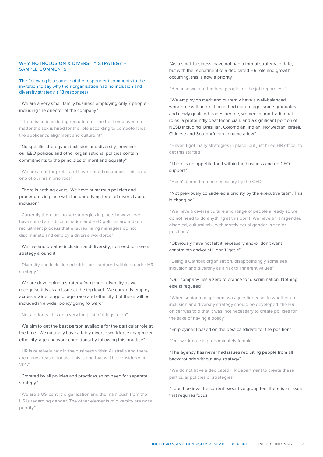# WHY NO INCLUSION & DIVERSITY STRATEGY -SAMPLE COMMENTS

The following is a sample of the respondent comments to the invitation to say why their organisation had no inclusion and diversity strategy. (118 responses)

# "We are a very small family business employing only 7 people including the director of the company"

"There is no bias during recruitment. The best employee no matter the sex is hired for the role according to competencies, the applicant's alignment and culture fit"

# "No specific strategy on inclusion and diversity; however our EEO policies and other organisational policies contain commitments to the principles of merit and equality"

"We are a not-for-profit and have limited resources. This is not one of our main priorities"

# "There is nothing overt. We have numerous policies and procedures in place with the underlying tenet of diversity and inclusion"

"Currently there are no set strategies in place; however we have sound anti-discrimination and EEO policies around our recruitment process that ensures hiring managers do not discriminate and employ a diverse workforce"

# "We live and breathe inclusion and diversity; no need to have a strategy around it"

"Diversity and Inclusion priorities are captured within broader HR strategy'

"We are developing a strategy for gender diversity as we recognise this as an issue at the top level. We currently employ across a wide range of age, race and ethnicity, but these will be included in a wider policy going forward"

#### "Not a priority - it's on a very long list of things to do"

"We aim to get the best person available for the particular role at the time. We naturally have a fairly diverse workforce (by gender, ethnicity, age and work conditions) by following this practice"

"HR is relatively new in the business within Australia and there are many areas of focus. This is one that will be considered in 2017"

# "Covered by all policies and practices so no need for separate strategy"

"We are a US-centric organisation and the main push from the US is regarding gender. The other elements of diversity are not a priority"

"As a small business, have not had a formal strategy to date, but with the recruitment of a dedicated HR role and growth occurring, this is now a priority"

"Because we hire the best people for the job regardless"

"We employ on merit and currently have a well-balanced workforce with more than a third mature age, some graduates and newly qualified trades people, women in non-traditional roles, a profoundly deaf technician, and a significant portion of NESB including Brazilian, Colombian, Indian, Norwegian, Israeli, Chinese and South African to name a few"

"Haven't got many strategies in place, but just hired HR officer to get this started"

# "There is no appetite for it within the business and no CEO support"

"Hasn't been deemed necessary by the CEO"

# "Not previously considered a priority by the executive team. This is changing"

"We have a diverse culture and range of people already so we do not need to do anything at this point. We have a transgender, disabled, cultural mix, with mostly equal gender in senior positions"

# "Obviously have not felt it necessary and/or don't want constraints and/or still don't 'get it'"

"Being a Catholic organisation, disappointingly some see inclusion and diversity as a risk to 'inherent values'"

## "Our company has a zero tolerance for discrimination. Nothing else is required"

"When senior management was questioned as to whether an inclusion and diversity strategy should be developed, the HR officer was told that it was 'not necessary to create policies for the sake of having a policy'"

#### "Employment based on the best candidate for the position"

"Our workforce is predominately female"

# "The agency has never had issues recruiting people from all backgrounds without any strategy"

"We do not have a dedicated HR department to create these particular policies or strategies"

"I don't believe the current executive group feel there is an issue that requires focus"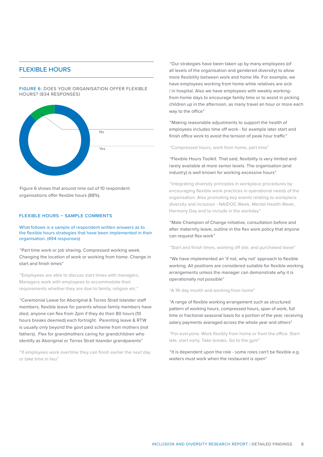# FLEXIBLE HOURS

FIGURE 6: DOES YOUR ORGANISATION OFFER FLEXIBLE HOURS? (834 RESPONSES)



Figure 6 shows that around nine out of 10 respondent organisations offer flexible hours (88%).

#### FLEXIBLE HOURS – SAMPLE COMMENTS

What follows is a sample of respondent written answers as to the flexible hours strategies that have been implemented in their organisation. (494 responses)

"Part time work or job sharing. Compressed working week. Changing the location of work or working from home. Change in start and finish times"

"Employees are able to discuss start times with managers. Managers work with employees to accommodate their requirements whether they are due to family, religion etc."

"Ceremonial Leave for Aboriginal & Torres Strait Islander staff members, flexible leave for parents whose family members have died, anyone can flex from 2pm if they do their 80 hours (10 hours breaks deemed) each fortnight. Parenting leave & RTW is usually only beyond the govt paid scheme from mothers (not fathers). Flex for grandmothers caring for grandchildren who identify as Aboriginal or Torres Strait Islander grandparents"

"If employees work overtime they can finish earlier the next day or take time in lieu"

"Our strategies have been taken up by many employees (of all levels of the organisation and gendered diversity) to allow more flexibility between work and home life. For example, we have employees working from home while relatives are sick / in hospital. Also we have employees with weekly workingfrom-home days to encourage family time or to assist in picking children up in the afternoon, as many travel an hour or more each way to the office"

"Making reasonable adjustments to support the health of employees includes time off work - for example later start and finish office work to avoid the tension of peak hour traffic"

"Compressed hours, work from home, part time"

"Flexible Hours Toolkit. That said, flexibility is very limited and rarely available at more senior levels. The organisation (and industry) is well known for working excessive hours"

"Integrating diversity principles in workplace procedures by encouraging flexible work practices in operational needs of the organisation. Also promoting key events relating to workplace diversity and inclusion - NAIDOC Week, Mental Health Week, Harmony Day and to include in the workday"

"Male Champion of Change initiative, consultation before and after maternity leave, outline in the flex work policy that anyone can request flex work"

"Start and finish times, working off site, and purchased leave"

"We have implemented an 'if not, why not' approach to flexible working. All positions are considered suitable for flexible working arrangements unless the manager can demonstrate why it is operationally not possible"

"A 19-day month and working from home"

"A range of flexible working arrangement such as structured pattern of working hours, compressed hours, span of work, full time or fractional seasonal basis for a portion of the year, receiving salary payments averaged across the whole year and others"

"For everyone. Work flexibly from home or from the office. Start late, start early. Take breaks. Go to the gym"

"It is dependent upon the role - some roles can't be flexible e.g. waiters must work when the restaurant is open"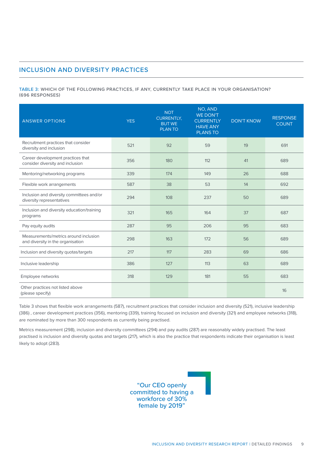# INCLUSION AND DIVERSITY PRACTICES

TABLE 3: WHICH OF THE FOLLOWING PRACTICES, IF ANY, CURRENTLY TAKE PLACE IN YOUR ORGANISATION? (696 RESPONSES)

| <b>ANSWER OPTIONS</b>                                                      | <b>YES</b> | <b>NOT</b><br><b>CURRENTLY.</b><br><b>BUT WE</b><br><b>PLANTO</b> | NO, AND<br><b>WE DON'T</b><br><b>CURRENTLY</b><br><b>HAVE ANY</b><br><b>PLANS TO</b> | <b>DON'T KNOW</b> | <b>RESPONSE</b><br><b>COUNT</b> |
|----------------------------------------------------------------------------|------------|-------------------------------------------------------------------|--------------------------------------------------------------------------------------|-------------------|---------------------------------|
| Recruitment practices that consider<br>diversity and inclusion             | 521        | 92                                                                | 59                                                                                   | 19                | 691                             |
| Career development practices that<br>consider diversity and inclusion      | 356        | 180                                                               | 112                                                                                  | 41                | 689                             |
| Mentoring/networking programs                                              | 339        | 174                                                               | 149                                                                                  | 26                | 688                             |
| Flexible work arrangements                                                 | 587        | 38                                                                | 53                                                                                   | 14                | 692                             |
| Inclusion and diversity committees and/or<br>diversity representatives     | 294        | 108                                                               | 237                                                                                  | 50                | 689                             |
| Inclusion and diversity education/training<br>programs                     | 321        | 165                                                               | 164                                                                                  | 37                | 687                             |
| Pay equity audits                                                          | 287        | 95                                                                | 206                                                                                  | 95                | 683                             |
| Measurements/metrics around inclusion<br>and diversity in the organisation | 298        | 163                                                               | 172                                                                                  | 56                | 689                             |
| Inclusion and diversity quotas/targets                                     | 217        | 117                                                               | 283                                                                                  | 69                | 686                             |
| Inclusive leadership                                                       | 386        | 127                                                               | 113                                                                                  | 63                | 689                             |
| Employee networks                                                          | 318        | 129                                                               | 181                                                                                  | 55                | 683                             |
| Other practices not listed above<br>(please specify)                       |            |                                                                   |                                                                                      |                   | 16                              |

Table 3 shows that flexible work arrangements (587), recruitment practices that consider inclusion and diversity (521), inclusive leadership (386) , career development practices (356), mentoring (339), training focused on inclusion and diversity (321) and employee networks (318), are nominated by more than 300 respondents as currently being practised.

Metrics measurement (298), inclusion and diversity committees (294) and pay audits (287) are reasonably widely practised. The least practised is inclusion and diversity quotas and targets (217), which is also the practice that respondents indicate their organisation is least likely to adopt (283).

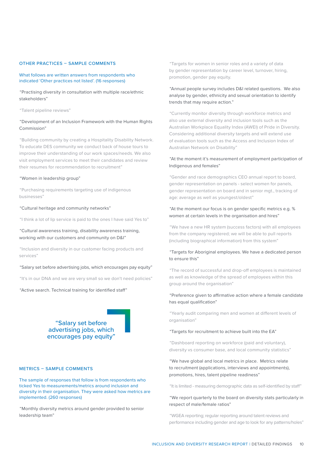#### OTHER PRACTICES – SAMPLE COMMENTS

What follows are written answers from respondents who indicated 'Other practices not listed'. (16 responses)

"Practising diversity in consultation with multiple race/ethnic stakeholders"

"Talent pipeline reviews"

# "Development of an Inclusion Framework with the Human Rights Commission"

"Building community by creating a Hospitality Disability Network. To educate DES community we conduct back of house tours to improve their understanding of our work spaces/needs. We also visit employment services to meet their candidates and review their resumes for recommendation to recruitment"

#### "Women in leadership group"

"Purchasing requirements targeting use of indigenous businesses"

#### "Cultural heritage and community networks"

"I think a lot of lip service is paid to the ones I have said Yes to"

"Cultural awareness training, disability awareness training, working with our customers and community on D&I"

"Inclusion and diversity in our customer facing products and services"

#### "Salary set before advertising jobs, which encourages pay equity"

"It's in our DNA and we are very small so we don't need policies"

"Active search. Technical training for identified staff"



#### METRICS – SAMPLE COMMENTS

The sample of responses that follow is from respondents who ticked Yes to measurements/metrics around inclusion and diversity in their organisation. They were asked how metrics are implemented. (260 responses)

"Monthly diversity metrics around gender provided to senior leadership team"

"Targets for women in senior roles and a variety of data by gender representation by career level, turnover, hiring, promotion, gender pay equity.

# "Annual people survey includes D&I related questions. We also analyse by gender, ethnicity and sexual orientation to identify trends that may require action."

"Currently monitor diversity through workforce metrics and also use external diversity and inclusion tools such as the Australian Workplace Equality Index (AWEI) of Pride in Diversity. Considering additional diversity targets and will extend use of evaluation tools such as the Access and Inclusion Index of Australian Network on Disability"

# "At the moment it's measurement of employment participation of Indigenous and females"

"Gender and race demographics CEO annual report to board, gender representation on panels - select women for panels, gender representation on board and in senior mgt., tracking of age: average as well as youngest/oldest"

# "At the moment our focus is on gender specific metrics e.g. % women at certain levels in the organisation and hires"

"We have a new HR system (success factors) with all employees from the company registered; we will be able to pull reports (including biographical information) from this system"

# "Targets for Aboriginal employees. We have a dedicated person to ensure this"

"The record of successful and drop-off employees is maintained as well as knowledge of the spread of employees within this group around the organisation"

## "Preference given to affirmative action where a female candidate has equal qualification"

"Yearly audit comparing men and women at different levels of organisation"

#### "Targets for recruitment to achieve built into the EA"

"Dashboard reporting on workforce (paid and voluntary), diversity vs consumer base, and local community statistics"

"We have global and local metrics in place. Metrics relate to recruitment (applications, interviews and appointments), promotions, hires, talent pipeline readiness"

"It is limited - measuring demographic data as self-identified by staff"

## "We report quarterly to the board on diversity stats particularly in respect of male/female ratios"

"WGEA reporting; regular reporting around talent reviews and performance including gender and age to look for any patterns/holes"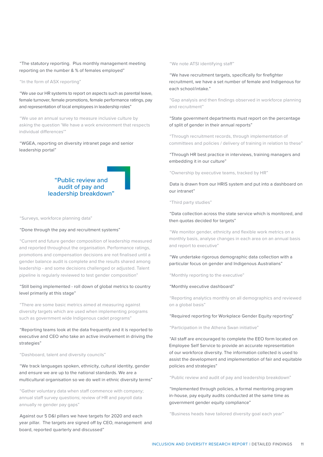"The statutory reporting. Plus monthly management meeting reporting on the number & % of females employed"

"In the form of ASX reporting"

"We use our HR systems to report on aspects such as parental leave, female turnover, female promotions, female performance ratings, pay and representation of local employees in leadership roles"

"We use an annual survey to measure inclusive culture by asking the question 'We have a work environment that respects individual differences'"

"WGEA, reporting on diversity intranet page and senior leadership portal"



"Surveys, workforce planning data"

#### "Done through the pay and recruitment systems"

"Current and future gender composition of leadership measured and reported throughout the organisation. Performance ratings, promotions and compensation decisions are not finalised until a gender balance audit is complete and the results shared among leadership - and some decisions challenged or adjusted. Talent pipeline is regularly reviewed to test gender composition"

# "Still being implemented - roll down of global metrics to country level primarily at this stage"

"There are some basic metrics aimed at measuring against diversity targets which are used when implementing programs such as government wide Indigenous cadet programs"

# "Reporting teams look at the data frequently and it is reported to executive and CEO who take an active involvement in driving the strategies"

"Dashboard, talent and diversity councils"

"We track languages spoken, ethnicity, cultural identity, gender and ensure we are up to the national standards. We are a multicultural organisation so we do well in ethnic diversity terms"

"Gather voluntary data when staff commence with company; annual staff survey questions; review of HR and payroll data annually re gender pay gaps"

Against our 5 D&I pillars we have targets for 2020 and each year pillar. The targets are signed off by CEO, management and board, reported quarterly and discussed"

#### "We note ATSI identifying staff"

"We have recruitment targets, specifically for firefighter recruitment, we have a set number of female and Indigenous for each school/intake."

"Gap analysis and then findings observed in workforce planning and recruitment"

"State government departments must report on the percentage of split of gender in their annual reports"

"Through recruitment records, through implementation of committees and policies / delivery of training in relation to these"

"Through HR best practice in interviews, training managers and embedding it in our culture"

"Ownership by executive teams, tracked by HR"

Data is drawn from our HRIS system and put into a dashboard on our intranet"

"Third party studies"

"Data collection across the state service which is monitored, and then quotas decided for targets"

"We monitor gender, ethnicity and flexible work metrics on a monthly basis, analyse changes in each area on an annual basis and report to executive"

"We undertake rigorous demographic data collection with a particular focus on gender and Indigenous Australians"

"Monthly reporting to the executive"

#### "Monthly executive dashboard"

"Reporting analytics monthly on all demographics and reviewed on a global basis"

"Required reporting for Workplace Gender Equity reporting"

"Participation in the Athena Swan initiative"

"All staff are encouraged to complete the EEO form located on Employee Self Service to provide an accurate representation of our workforce diversity. The information collected is used to assist the development and implementation of fair and equitable policies and strategies"

"Public review and audit of pay and leadership breakdown"

"Implemented through policies, a formal mentoring program in-house, pay equity audits conducted at the same time as government gender equity compliance"

"Business heads have tailored diversity goal each year"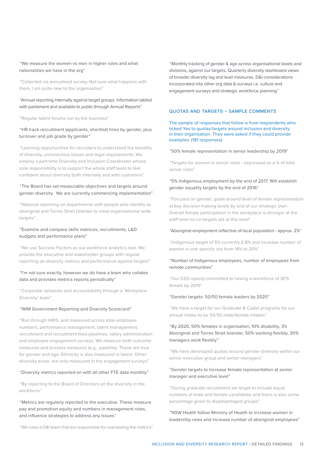"We measure the women vs men in higher roles and what nationalities we have in the org"

"Collected via annualised survey. Not sure what happens with them, I am quite new to the organisation"

## "Annual reporting internally against target groups. Information tabled with parliament and available to public through Annual Reports"

"Regular talent forums run by the business"

# "HR track recruitment (applicants, shortlist) hires by gender, plus turnover and job grade by gender"

"Learning opportunities for recruiters to understand the benefits of diversity, unconscious biases and legal requirements. We employ a part time Diversity and Inclusion Coordinator whose sole responsibility is to support the whole staff team to feel confident about diversity both internally and with customers"

# "The Board has set measurable objectives and targets around gender diversity. We are currently commencing implementation"

"National reporting on departments with people who identify as aboriginal and Torres Strait Islander to meet organisational wide targets"

## "Examine and compare skills matrices, recruitments, L&D budgets and performance plans"

"We use Success Factors as our workforce analytics tool. We provide the executive and stakeholder groups with regular reporting on diversity metrics and performance against targets"

# "I'm not sure exactly, however we do have a team who collates data and provides metrics reports periodically"

"Corporate networks and accountability through a 'Workplace Diversity' team"

#### "WIM Government Reporting and Diversity Scorecard"

"Run through HRIS, and measured across total employee numbers, performance management, talent management, recruitment and recruitment feed pipelines, salary administration and employee engagement surveys. We measure both outcome measures and process measures (e.g., pipeline). These are true for gender and age. Ethnicity is also measured in talent. Other diversity areas are only measured in the engagement surveys"

#### "Diversity metrics reported on with all other FTE data monthly"

"By reporting to the Board of Directors on the diversity in the workforce"

"Metrics are regularly reported to the executive. These measure pay and promotion equity and numbers in management roles, and influence strategies to address any issues"

"We have a D&I team that are responsible for overseeing the metrics"

"Monthly tracking of gender & age across organisational levels and divisions, against our targets. Quarterly diversity dashboard views of broader diversity lag and lead measures. D&I considerations incorporated into other org data & surveys i.e. culture and engagement surveys and strategic workforce planning"

# QUOTAS AND TARGETS – SAMPLE COMMENTS

#### The sample of responses that follow is from respondents who ticked Yes to quotas/targets around inclusion and diversity in their organisation. They were asked if they could provide examples. (181 responses)

#### "50% female representation in senior leadership by 2019"

"Targets for women in senior roles - expressed as a % of total senior roles"

# "5% Indigenous employment by the end of 2017. Will establish gender equality targets by the end of 2016"

"Focused on gender, goals around level of female representation at key decision making levels by end of our strategic plan. Overall female participation in the workplace is stronger at the staff level so no targets set at this level"

#### "Aboriginal employment reflective of local population - approx. 2%"

"Indigenous target of 5% currently 2.8% and increase number of women in one specific are from 14% to 20%"

# "Number of Indigenous employees, number of employees from remote communities"

"Our CEO openly committed to having a workforce of 30% female by 2019"

#### "Gender targets: 50/50 female leaders by 2020"

"We have a target for our Graduate & Cadet programs for our annual intake to be 50/50 male/female intakes"

# "By 2020, 50% females in organisation, 10% disability, 3% Aboriginal and Torres Strait Islander, 50% working flexibly, 30% managers work flexibly"

"We have developed quotas around gender diversity within our senior executive group and senior managers"

## "Gender targets to increase female representation at senior manager and executive level"

"During graduate recruitment we target to include equal numbers of male and female candidates and there is also some percentage given to disadvantaged groups"

"NSW Health follow Ministry of Health to increase women in leadership roles and increase number of aboriginal employees"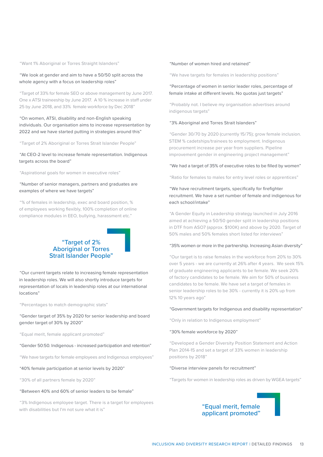"Want 1% Aboriginal or Torres Straight Islanders"

"We look at gender and aim to have a 50/50 split across the whole agency with a focus on leadership roles"

"Target of 33% for female SEO or above management by June 2017. One x ATSI traineeship by June 2017. A 10 % increase in staff under 25 by June 2018, and 33% female workforce by Dec 2018"

# "On women, ATSI, disability and non-English speaking individuals. Our organisation aims to increase representation by 2022 and we have started putting in strategies around this"

"Target of 2% Aboriginal or Torres Strait Islander People"

"At CEO-2 level to increase female representation. Indigenous targets across the board"

"Aspirational goals for women in executive roles"

# "Number of senior managers, partners and graduates are examples of where we have targets"

"% of females in leadership, exec and board position, % of employees working flexibly, 100% completion of online compliance modules in EEO, bullying, harassment etc."



"Our current targets relate to increasing female representation in leadership roles. We will also shortly introduce targets for representation of locals in leadership roles at our international locations"

"Percentages to match demographic stats"

"Gender target of 35% by 2020 for senior leadership and board gender target of 30% by 2020"

"Equal merit, female applicant promoted"

#### "Gender 50:50. Indigenous - increased participation and retention"

"We have targets for female employees and Indigenous employees"

#### "40% female participation at senior levels by 2020"

"30% of all partners female by 2020"

#### "Between 40% and 60% of senior leaders to be female"

"3% Indigenous employee target. There is a target for employees with disabilities but I'm not sure what it is"

#### "Number of women hired and retained"

"We have targets for females in leadership positions"

# "Percentage of women in senior leader roles, percentage of female intake at different levels. No quotas just targets"

"Probably not. I believe my organisation advertises around indigenous targets"

#### "3% Aboriginal and Torres Strait Islanders"

"Gender 30/70 by 2020 (currently 15/75); grow female inclusion. STEM % cadetships/trainees to employment. Indigenous procurement increase per year from suppliers. Pipeline improvement gender in engineering project management"

"We had a target of 35% of executive roles to be filled by women"

"Ratio for females to males for entry level roles or apprentices"

# "We have recruitment targets, specifically for firefighter recruitment. We have a set number of female and indigenous for each school/intake"

"A Gender Equity in Leadership strategy launched in July 2016 aimed at achieving a 50/50 gender split in leadership positions in DTF from ASO7 (approx. \$100K) and above by 2020. Target of 50% males and 50% females short listed for interviews"

#### "35% women or more in the partnership. Increasing Asian diversity"

"Our target is to raise females in the workforce from 20% to 30% over 5 years - we are currently at 26% after 4 years. We seek 15% of graduate engineering applicants to be female. We seek 20% of factory candidates to be female. We aim for 50% of business candidates to be female. We have set a target of females in senior leadership roles to be 30% - currently it is 20% up from 12% 10 years ago"

#### "Government targets for Indigenous and disability representation"

"Only in relation to Indigenous employment"

#### "30% female workforce by 2020"

"Developed a Gender Diversity Position Statement and Action Plan 2014-15 and set a target of 33% women in leadership positions by 2018"

#### "Diverse interview panels for recruitment"

"Targets for women in leadership roles as driven by WGEA targets"

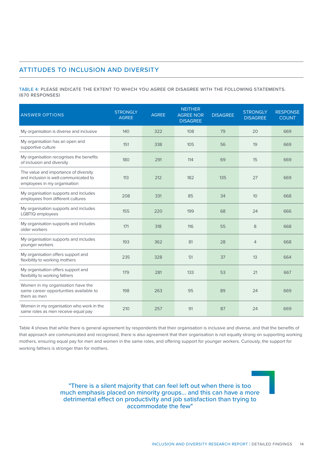# ATTITUDES TO INCLUSION AND DIVERSITY

TABLE 4: PLEASE INDICATE THE EXTENT TO WHICH YOU AGREE OR DISAGREE WITH THE FOLLOWING STATEMENTS. (670 RESPONSES)

| <b>ANSWER OPTIONS</b>                                                                                          | <b>STRONGLY</b><br><b>AGREE</b> | <b>AGREE</b> | <b>NEITHER</b><br><b>AGREE NOR</b><br><b>DISAGREE</b> | <b>DISAGREE</b> | <b>STRONGLY</b><br><b>DISAGREE</b> | <b>RESPONSE</b><br><b>COUNT</b> |
|----------------------------------------------------------------------------------------------------------------|---------------------------------|--------------|-------------------------------------------------------|-----------------|------------------------------------|---------------------------------|
| My organisation is diverse and inclusive                                                                       | 140                             | 322          | 108                                                   | 79              | 20                                 | 669                             |
| My organisation has an open and<br>supportive culture                                                          | 151                             | 338          | 105                                                   | 56              | 19                                 | 669                             |
| My organisation recognises the benefits<br>of inclusion and diversity                                          | 180                             | 291          | 114                                                   | 69              | 15                                 | 669                             |
| The value and importance of diversity<br>and inclusion is well-communicated to<br>employees in my organisation | 113                             | 212          | 182                                                   | 135             | 27                                 | 669                             |
| My organisation supports and includes<br>employees from different cultures                                     | 208                             | 331          | 85                                                    | 34              | 10                                 | 668                             |
| My organisation supports and includes<br>LGBTIQ employees                                                      | 155                             | 220          | 199                                                   | 68              | 24                                 | 666                             |
| My organisation supports and includes<br>older workers                                                         | 171                             | 318          | 116                                                   | 55              | 8                                  | 668                             |
| My organisation supports and includes<br>younger workers                                                       | 193                             | 362          | 81                                                    | 28              | $\overline{4}$                     | 668                             |
| My organisation offers support and<br>flexibility to working mothers                                           | 235                             | 328          | 51                                                    | 37              | 13                                 | 664                             |
| My organisation offers support and<br>flexibility to working fathers                                           | 179                             | 281          | 133                                                   | 53              | 21                                 | 667                             |
| Women in my organisation have the<br>same career opportunities available to<br>them as men                     | 198                             | 263          | 95                                                    | 89              | 24                                 | 669                             |
| Women in my organisation who work in the<br>same roles as men receive equal pay                                | 210                             | 257          | 91                                                    | 87              | 24                                 | 669                             |

Table 4 shows that while there is general agreement by respondents that their organisation is inclusive and diverse, and that the benefits of that approach are communicated and recognised, there is also agreement that their organisation is not equally strong on supporting working mothers, ensuring equal pay for men and women in the same roles, and offering support for younger workers. Curiously, the support for working fathers is stronger than for mothers.

> "There is a silent majority that can feel left out when there is too much emphasis placed on minority groups... and this can have a more detrimental effect on productivity and job satisfaction than trying to accommodate the few"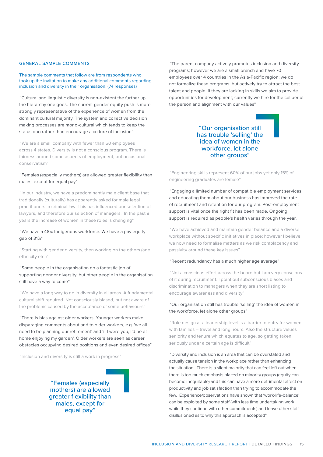#### GENERAL SAMPLE COMMENTS

#### The sample comments that follow are from respondents who took up the invitation to make any additional comments regarding inclusion and diversity in their organisation. (74 responses)

"Cultural and linguistic diversity is non-existent the further up the hierarchy one goes. The current gender equity push is more strongly representative of the experience of women from the dominant cultural majority. The system and collective decision making processes are mono-cultural which tends to keep the status quo rather than encourage a culture of inclusion"

"We are a small company with fewer than 60 employees across 4 states. Diversity is not a conscious program. There is fairness around some aspects of employment, but occasional conservatism"

# "Females (especially mothers) are allowed greater flexibility than males, except for equal pay"

"In our industry, we have a predominantly male client base that traditionally (culturally) has apparently asked for male legal practitioners in criminal law. This has influenced our selection of lawyers, and therefore our selection of managers. In the past 8 years the increase of women in these roles is changing"

# "We have a 48% Indigenous workforce. We have a pay equity gap of 31%"

"Starting with gender diversity, then working on the others (age, ethnicity etc.)"

# "Some people in the organisation do a fantastic job of supporting gender diversity, but other people in the organisation still have a way to come"

"We have a long way to go in diversity in all areas. A fundamental cultural shift required. Not consciously biased, but not aware of the problems caused by the acceptance of some behaviours"

"There is bias against older workers. Younger workers make disparaging comments about and to older workers, e.g. 'we all need to be planning our retirement' and 'if I were you, I'd be at home enjoying my garden'. Older workers are seen as career obstacles occupying desired positions and even desired offices"

"Inclusion and diversity is still a work in progress"

"Females (especially mothers) are allowed greater flexibility than males, except for equal pay"

"The parent company actively promotes inclusion and diversity programs; however we are a small branch and have 70 employees over 4 countries in the Asia-Pacific region; we do not formalize these programs, but actively try to attract the best talent and people. If they are lacking in skills we aim to provide opportunities for development; currently we hire for the caliber of the person and alignment with our values"

# "Our organisation still has trouble 'selling' the idea of women in the workforce, let alone other groups"

"Engineering skills represent 60% of our jobs yet only 15% of engineering graduates are female"

"Engaging a limited number of compatible employment services and educating them about our business has improved the rate of recruitment and retention for our program. Post-employment support is vital once the right fit has been made. Ongoing support is required as people's health varies through the year.

"We have achieved and maintain gender balance and a diverse workplace without specific initiatives in place; however I believe we now need to formalise matters as we risk complacency and passivity around these key issues"

#### "Recent redundancy has a much higher age average"

"Not a conscious effort across the board but I am very conscious of it during recruitment. I point out subconscious biases and discrimination to managers when they are short listing to encourage awareness and diversity"

# "Our organisation still has trouble 'selling' the idea of women in the workforce, let alone other groups"

"Role design at a leadership level is a barrier to entry for women with families – travel and long hours. Also the structure values seniority and tenure which equates to age, so getting taken seriously under a certain age is difficult"

"Diversity and inclusion is an area that can be overstated and actually cause tension in the workplace rather than enhancing the situation. There is a silent majority that can feel left out when there is too much emphasis placed on minority groups (equity can become inequitable) and this can have a more detrimental effect on productivity and job satisfaction than trying to accommodate the few. Experience/observations have shown that 'work-life-balance' can be exploited by some staff (with less time undertaking work while they continue with other commitments) and leave other staff disillusioned as to why this approach is accepted"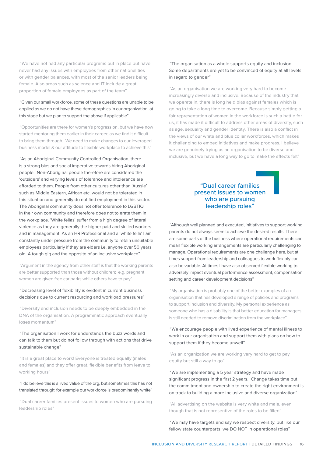"We have not had any particular programs put in place but have never had any issues with employees from other nationalities or with gender balances, with most of the senior leaders being female. Also areas such as science and IT include a great proportion of female employees as part of the team"

# "Given our small workforce, some of these questions are unable to be applied as we do not have these demographics in our organization, at this stage but we plan to support the above if applicable"

"Opportunities are there for women's progression, but we have now started mentoring them earlier in their career, as we find it difficult to bring them through. We need to make changes to our leveraged business model & our attitude to flexible workplace to achieve this"

"As an Aboriginal Community Controlled Organisation, there is a strong bias and social imperative towards hiring Aboriginal people. Non-Aboriginal people therefore are considered the 'outsiders' and varying levels of tolerance and intolerance are afforded to them. People from other cultures other than 'Aussie' such as Middle Eastern, African etc. would not be tolerated in this situation and generally do not find employment in this sector. The Aboriginal community does not offer tolerance to LGBTIQ in their own community and therefore does not tolerate them in the workplace. 'White fellas' suffer from a high degree of lateral violence as they are generally the higher paid and skilled workers and in management. As an HR Professional and a 'white fella' I am constantly under pressure from the community to retain unsuitable employees particularly if they are elders i.e. anyone over 50 years old. A tough gig and the opposite of an inclusive workplace"

"Argument in the agency from other staff is that the working parents are better supported than those without children; e.g. pregnant women are given free car parks while others have to pay"

# "Decreasing level of flexibility is evident in current business decisions due to current resourcing and workload pressures"

"Diversity and inclusion needs to be deeply embedded in the DNA of the organisation. A programmatic approach eventually loses momentum"

# "The organisation I work for understands the buzz words and can talk to them but do not follow through with actions that drive sustainable change"

"It is a great place to work! Everyone is treated equally (males and females) and they offer great, flexible benefits from leave to working hours"

"I do believe this is a lived value of the org, but sometimes this has not translated through; for example our workforce is predominantly white"

"Dual career families present issues to women who are pursuing leadership roles"

# "The organisation as a whole supports equity and inclusion. Some departments are yet to be convinced of equity at all levels in regard to gender"

"As an organisation we are working very hard to become increasingly diverse and inclusive. Because of the industry that we operate in, there is long held bias against females which is going to take a long time to overcome. Because simply getting a fair representation of women in the workforce is such a battle for us, it has made it difficult to address other areas of diversity, such as age, sexuality and gender identity. There is also a conflict in the views of our white and blue collar workforces, which makes it challenging to embed initiatives and make progress. I believe we are genuinely trying as an organisation to be diverse and inclusive, but we have a long way to go to make the effects felt"

# "Dual career families present issues to women who are pursuing leadership roles"

"Although well planned and executed, initiatives to support working parents do not always seem to achieve the desired results. There are some parts of the business where operational requirements can mean flexible working arrangements are particularly challenging to manage. Operational requirements are one challenge here, but at times support from leadership and colleagues to work flexibly can also be variable. At times I have also observed flexible working to adversely impact eventual performance assessment, compensation setting and career development decisions"

"My organisation is probably one of the better examples of an organisation that has developed a range of policies and programs to support inclusion and diversity. My personal experience as someone who has a disability is that better education for managers is still needed to remove discrimination from the workplace"

# "We encourage people with lived experience of mental illness to work in our organisation and support them with plans on how to support them if they become unwell"

"As an organization we are working very hard to get to pay equity but still a way to go"

"We are implementing a 5 year strategy and have made significant progress in the first 2 years. Change takes time but the commitment and ownership to create the right environment is on track to building a more inclusive and diverse organization"

"All advertising on the website is very white and male, even though that is not representive of the roles to be filled"

"We may have targets and say we respect diversity, but like our fellow state counterparts, we DO NOT in operational roles"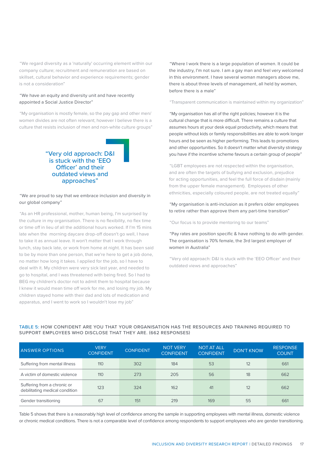"We regard diversity as a 'naturally' occurring element within our company culture; recruitment and remuneration are based on skillset, cultural behavior and experience requirements; gender is not a consideration"

# "We have an equity and diversity unit and have recently appointed a Social Justice Director"

"My organisation is mostly female, so the pay gap and other men/ women divides are not often relevant; however I believe there is a culture that resists inclusion of men and non-white culture groups"

# "Very old approach: D&I is stuck with the 'EEO Officer' and their outdated views and approaches"

# "We are proud to say that we embrace inclusion and diversity in our global company"

"As an HR professional, mother, human being, I'm surprised by the culture in my organisation. There is no flexibility, no flex time or time off in lieu of all the additional hours worked. If I'm 15 mins late when the morning daycare drop-off doesn't go well, I have to take it as annual leave. It won't matter that I work through lunch, stay back late, or work from home at night. It has been said to be by more than one person, that we're here to get a job done, no matter how long it takes. I applied for the job, so I have to deal with it. My children were very sick last year, and needed to go to hospital, and I was threatened with being fired. So I had to BEG my children's doctor not to admit them to hospital because I knew it would mean time off work for me, and losing my job. My children stayed home with their dad and lots of medication and apparatus, and I went to work so I wouldn't lose my job"

"Where I work there is a large population of women. It could be the industry, I'm not sure. I am a gay man and feel very welcomed in this environment. I have several woman managers above me, there is about three levels of management, all held by women, before there is a male"

"Transparent communication is maintained within my organization"

"My organisation has all of the right policies; however it is the cultural change that is more difficult. There remains a culture that assumes hours at your desk equal productivity, which means that people without kids or family responsibilities are able to work longer hours and be seen as higher performing. This leads to promotions and other opportunities. So it doesn't matter what diversity strategy you have if the incentive scheme favours a certain group of people"

"LGBT employees are not respected within the organisation, and are often the targets of bullying and exclusion, prejudice for acting opportunities, and feel the full force of disdain (mainly from the upper female management). Employees of other ethnicities, especially coloured people, are not treated equally"

# "My organisation is anti-inclusion as it prefers older employees to retire rather than approve them any part-time transition"

"Our focus is to provide mentoring to our teams"

"Pay rates are position specific & have nothing to do with gender. The organisation is 70% female, the 3rd largest employer of women in Australia"

"Very old approach: D&I is stuck with the 'EEO Officer' and their outdated views and approaches"

| <b>ANSWER OPTIONS</b>                                         | <b>VERY</b><br><b>CONFIDENT</b> | <b>CONFIDENT</b> | <b>NOT VERY</b><br><b>CONFIDENT</b> | <b>NOT AT ALL</b><br><b>CONFIDENT</b> | <b>DON'T KNOW</b> | <b>RESPONSE</b><br><b>COUNT</b> |
|---------------------------------------------------------------|---------------------------------|------------------|-------------------------------------|---------------------------------------|-------------------|---------------------------------|
| Suffering from mental illness                                 | 110                             | 302              | 184                                 | 53                                    | 12                | 661                             |
| A victim of domestic violence                                 | 110                             | 273              | 205                                 | 56                                    | 18                | 662                             |
| Suffering from a chronic or<br>debilitating medical condition | 123                             | 324              | 162                                 | 41                                    | 12                | 662                             |
| Gender transitioning                                          | 67                              | 151              | 219                                 | 169                                   | 55                | 661                             |

# TABLE 5: HOW CONFIDENT ARE YOU THAT YOUR ORGANISATION HAS THE RESOURCES AND TRAINING REQUIRED TO SUPPORT EMPLOYEES WHO DISCLOSE THAT THEY ARE. (662 RESPONSES)

Table 5 shows that there is a reasonably high level of confidence among the sample in supporting employees with mental illness, domestic violence or chronic medical conditions. There is not a comparable level of confidence among respondents to support employees who are gender transitioning.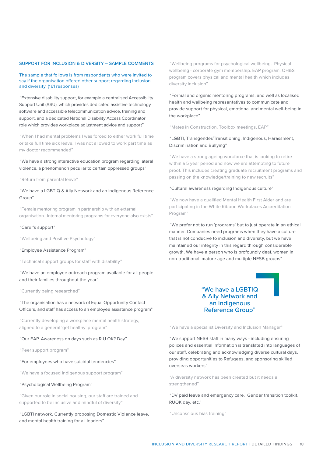# SUPPORT FOR INCLUSION & DIVERSITY – SAMPLE COMMENTS

### The sample that follows is from respondents who were invited to say if the organisation offered other support regarding inclusion and diversity. (161 responses)

"Extensive disability support, for example a centralised Accessibility Support Unit (ASU), which provides dedicated assistive technology software and accessible telecommunication advice, training and support, and a dedicated National Disability Access Coordinator role which provides workplace adjustment advice and support"

"When I had mental problems I was forced to either work full time or take full time sick leave. I was not allowed to work part time as my doctor recommended"

"We have a strong interactive education program regarding lateral violence, a phenomenon peculiar to certain oppressed groups"

"Return from parental leave"

## "We have a LGBTIQ & Ally Network and an Indigenous Reference Group"

"Female mentoring program in partnership with an external organisation. Internal mentoring programs for everyone also exists"

#### "Carer's support"

"Wellbeing and Positive Psychology"

"Employee Assistance Program"

"Technical support groups for staff with disability"

"We have an employee outreach program available for all people and their families throughout the year"

#### "Currently being researched"

"The organisation has a network of Equal Opportunity Contact Officers, and staff has access to an employee assistance program"

"Currently developing a workplace mental health strategy, aligned to a general 'get healthy' program"

#### "Our EAP. Awareness on days such as R U OK? Day"

"Peer support program"

#### "For employees who have suicidal tendencies"

"We have a focused Indigenous support program"

#### "Psychological Wellbeing Program"

"Given our role in social housing, our staff are trained and supported to be inclusive and mindful of diversity"

"LGBTI network. Currently proposing Domestic Violence leave, and mental health training for all leaders"

"Wellbeing programs for psychological wellbeing. Physical wellbeing - corporate gym membership. EAP program. OH&S program covers physical and mental health which includes diversity inclusion"

"Formal and organic mentoring programs, and well as localised health and wellbeing representatives to communicate and provide support for physical, emotional and mental well-being in the workplace"

"Mates in Construction, Toolbox meetings, EAP"

# "LGBTI, Transgender/Transitioning, Indigenous, Harassment, Discrimination and Bullying"

"We have a strong ageing workforce that is looking to retire within a 5 year period and now we are attempting to future proof. This includes creating graduate recruitment programs and passing on the knowledge/training to new recruits"

#### "Cultural awareness regarding Indigenous culture"

"We now have a qualified Mental Health First Aider and are participating in the White Ribbon Workplaces Accreditation Program"

"We prefer not to run 'programs' but to just operate in an ethical manner. Companies need programs when they have a culture that is not conducive to inclusion and diversity, but we have maintained our integrity in this regard through considerable growth. We have a person who is profoundly deaf, women in non-traditional, mature age and multiple NESB groups"

# "We have a LGBTIQ & Ally Network and an Indigenous Reference Group"

"We have a specialist Diversity and Inclusion Manager"

"We support NESB staff in many ways - including ensuring polices and essential information is translated into languages of our staff, celebrating and acknowledging diverse cultural days, providing opportunities to Refugees, and sponsoring skilled overseas workers"

"A diversity network has been created but it needs a strengthened"

"DV paid leave and emergency care. Gender transition toolkit, RUOK day, etc."

"Unconscious bias training"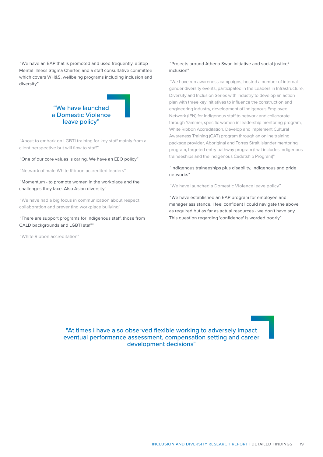"We have an EAP that is promoted and used frequently, a Stop Mental Illness Stigma Charter, and a staff consultative committee which covers WH&S, wellbeing programs including inclusion and diversity"



"About to embark on LGBTI training for key staff mainly from a client perspective but will flow to staff"

"One of our core values is caring. We have an EEO policy"

"Network of male White Ribbon accredited leaders"

# "Momentum - to promote women in the workplace and the challenges they face. Also Asian diversity"

"We have had a big focus in communication about respect, collaboration and preventing workplace bullying"

"There are support programs for Indigenous staff, those from CALD backgrounds and LGBTI staff"

"White Ribbon accreditation"

# "Projects around Athena Swan initiative and social justice/ inclusion"

"We have run awareness campaigns, hosted a number of internal gender diversity events, participated in the Leaders in Infrastructure, Diversity and Inclusion Series with industry to develop an action plan with three key initiatives to influence the construction and engineering industry, development of Indigenous Employee Network (IEN) for Indigenous staff to network and collaborate through Yammer, specific women in leadership mentoring program, White Ribbon Accreditation, Develop and implement Cultural Awareness Training (CAT) program through an online training package provider, Aboriginal and Torres Strait Islander mentoring program, targeted entry pathway program (that includes Indigenous traineeships and the Indigenous Cadetship Program)"

# "Indigenous traineeships plus disability, Indigenous and pride networks"

"We have launched a Domestic Violence leave policy"

"We have established an EAP program for employee and manager assistance. I feel confident I could navigate the above as required but as far as actual resources - we don't have any. This question regarding 'confidence' is worded poorly"

"At times I have also observed flexible working to adversely impact eventual performance assessment, compensation setting and career development decisions"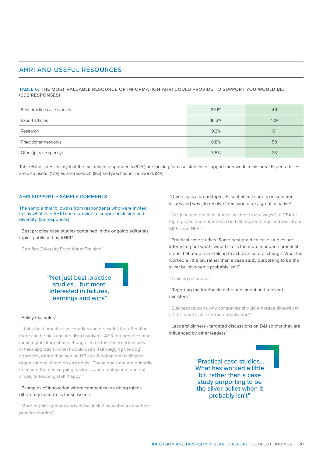# AHRI AND USEFUL RESOURCES

TABLE 6: THE MOST VALUABLE RESOURCE OR INFORMATION AHRI COULD PROVIDE TO SUPPORT YOU WOULD BE: (662 RESPONSES)

| Best practice case studies | 62.1% | 411 |
|----------------------------|-------|-----|
| <b>Expert articles</b>     | 16.5% | 109 |
| Research                   | 9.2%  | 61  |
| Practitioner networks      | 8.8%  | 58  |
| Other (please specify)     | 3.5%  | 23  |

Table 6 indicates clearly that the majority of respondents (62%) are looking for case studies to support their work in this area. Expert articles are also useful (17%) as are research (9%) and practitioner networks (8%).

#### AHRI SUPPORT – SAMPLE COMMENTS

The sample that follows is from respondents who were invited to say what else AHRI could provide to support inclusion and diversity. (23 responses)

"Best practice case studies contained in the ongoing editorials topics published by AHRI"

"Certified Diversity Practitioner Training"



#### "Policy examples"

"I think best practice case studies can be useful, but often find there can be bias and idealism involved. AHRI do provide some meaningful information although I think there is a certain bias in their approach - what I would call a 'tail wagging the dog' approach, rather than seeing HR as a function that facilitates organisational direction and goals. These goals are are primarily to ensure there is ongoing business and employment and not simply to keeping staff 'happy'"

# "Examples of innovation where companies are doing things differently to address these issues"

"More regular updates and advice, including webinars and best practice sharing"

"Diversity is a broad topic. Essential fact sheets on common issues and ways to resolve them would be a great initiative"

"Not just best practice studies as these are always like CBA or big orgs, but more interested in failures, learnings and wins from SMEs and NFPs"

"Practical case studies. Some best practice case studies are interesting but what I would like is the more mundane practical steps that people are taking to achieve cultural change. What has worked a little bit, rather than a case study purporting to be the silver bullet when it probably isn't"

"Training resources"

"Reporting the feedback to the parliament and relevant ministers"

"Business reasons why companies should embrace diversity at all; i.e. what is in it for the organisation?"

"Leaders' dinners - targeted discussions on D&I so that they are influenced by other leaders"

> "Practical case studies... What has worked a little bit, rather than a case study purporting to be the silver bullet when it probably isn't"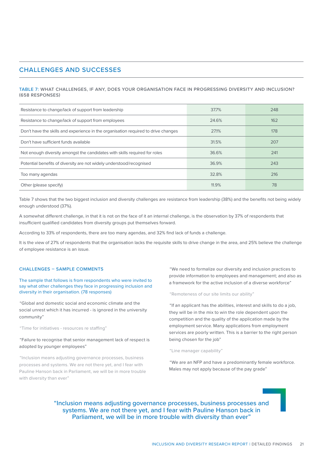# CHALLENGES AND SUCCESSES

# TABLE 7: WHAT CHALLENGES, IF ANY, DOES YOUR ORGANISATION FACE IN PROGRESSING DIVERSITY AND INCLUSION? (658 RESPONSES)

| Resistance to change/lack of support from leadership                               | 37.7% | 248 |
|------------------------------------------------------------------------------------|-------|-----|
| Resistance to change/lack of support from employees                                | 24.6% | 162 |
| Don't have the skills and experience in the organisation required to drive changes | 27.1% | 178 |
| Don't have sufficient funds available                                              | 31.5% | 207 |
| Not enough diversity amongst the candidates with skills required for roles         | 36.6% | 241 |
| Potential benefits of diversity are not widely understood/recognised               | 36.9% | 243 |
| Too many agendas                                                                   | 32.8% | 216 |
| Other (please specify)                                                             | 11.9% | 78  |

Table 7 shows that the two biggest inclusion and diversity challenges are resistance from leadership (38%) and the benefits not being widely enough understood (37%).

A somewhat different challenge, in that it is not on the face of it an internal challenge, is the observation by 37% of respondents that insufficient qualified candidates from diversity groups put themselves forward.

According to 33% of respondents, there are too many agendas, and 32% find lack of funds a challenge.

It is the view of 27% of respondents that the organisation lacks the requisite skills to drive change in the area, and 25% believe the challenge of employee resistance is an issue.

#### CHALLENGES – SAMPLE COMMENTS

The sample that follows is from respondents who were invited to say what other challenges they face in progressing inclusion and diversity in their organisation. (78 responses)

"Global and domestic social and economic climate and the social unrest which it has incurred - is ignored in the university community"

"Time for initiatives - resources re staffing"

## "Failure to recognise that senior management lack of respect is adopted by younger employees"

"Inclusion means adjusting governance processes, business processes and systems. We are not there yet, and I fear with Pauline Hanson back in Parliament, we will be in more trouble with diversity than ever"

"We need to formalize our diversity and inclusion practices to provide information to employees and management; and also as a framework for the active inclusion of a diverse workforce"

"Remoteness of our site limits our ability"

"If an applicant has the abilities, interest and skills to do a job, they will be in the mix to win the role dependent upon the competition and the quality of the application made by the employment service. Many applications from employment services are poorly written. This is a barrier to the right person being chosen for the job"

#### "Line manager capability"

"We are an NFP and have a predominantly female workforce. Males may not apply because of the pay grade"

"Inclusion means adjusting governance processes, business processes and systems. We are not there yet, and I fear with Pauline Hanson back in Parliament, we will be in more trouble with diversity than ever"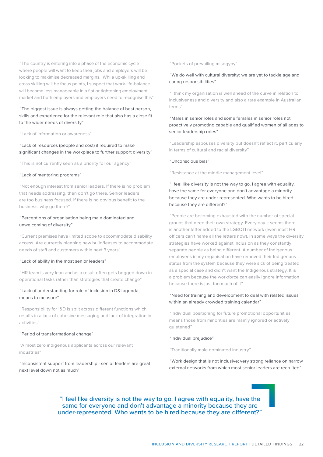"The country is entering into a phase of the economic cycle where people will want to keep their jobs and employers will be looking to maximise decreased margins. While up-skilling and cross skilling will be focus points, I suspect that work-life-balance will become less manageable in a flat or tightening employment market and both employers and employers need to recognise this"

# "The biggest issue is always getting the balance of best person, skills and experience for the relevant role that also has a close fit to the wider needs of diversity"

#### "Lack of information or awareness"

# "Lack of resources (people and cost) if required to make significant changes in the workplace to further support diversity"

"This is not currently seen as a priority for our agency"

#### "Lack of mentoring programs"

"Not enough interest from senior leaders. If there is no problem that needs addressing, then don't go there. Senior leaders are too business focused. If there is no obvious benefit to the business, why go there?"

# "Perceptions of organisation being male dominated and unwelcoming of diversity"

"Current premises have limited scope to accommodate disability access. Are currently planning new build/leases to accommodate needs of staff and customers within next 3 years"

#### "Lack of ability in the most senior leaders"

"HR team is very lean and as a result often gets bogged down in operational tasks rather than strategies that create change"

# "Lack of understanding for role of inclusion in D&I agenda, means to measure"

"Responsibility for I&D is split across different functions which results in a lack of cohesive messaging and lack of integration in activities"

#### "Period of transformational change"

"Almost zero indigenous applicants across our relevant industries"

"Inconsistent support from leadership - senior leaders are great, next level down not as much"

#### "Pockets of prevailing misogyny"

# "We do well with cultural diversity; we are yet to tackle age and caring responsibilities"

"I think my organisation is well ahead of the curve in relation to inclusiveness and diversity and also a rare example in Australian terms"

# "Males in senior roles and some females in senior roles not proactively promoting capable and qualified women of all ages to senior leadership roles"

"Leadership espouses diversity but doesn't reflect it, particularly in terms of cultural and racial diversity"

#### "Unconscious bias"

"Resistance at the middle management level"

"I feel like diversity is not the way to go. I agree with equality, have the same for everyone and don't advantage a minority because they are under-represented. Who wants to be hired because they are different?"

"People are becoming exhausted with the number of special groups that need their own strategy. Every day it seems there is another letter added to the LGBQTI network (even most HR officers can't name all the letters now). In some ways the diversity strategies have worked against inclusion as they constantly separate people as being different. A number of Indigenous employees in my organisation have removed their Indigenous status from the system because they were sick of being treated as a special case and didn't want the Indigenous strategy. It is a problem because the workforce can easily ignore information because there is just too much of it"

# "Need for training and development to deal with related issues within an already crowded training calendar"

"Individual positioning for future promotional opportunities means those from minorities are mainly ignored or actively quietened"

#### "Individual prejudice"

"Traditionally male dominated industry"

"Work design that is not inclusive; very strong reliance on narrow external networks from which most senior leaders are recruited"

# "I feel like diversity is not the way to go. I agree with equality, have the same for everyone and don't advantage a minority because they are under-represented. Who wants to be hired because they are different?"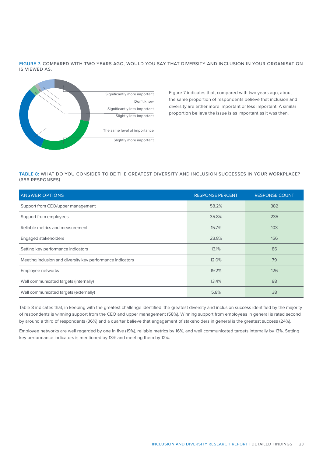FIGURE 7. COMPARED WITH TWO YEARS AGO, WOULD YOU SAY THAT DIVERSITY AND INCLUSION IN YOUR ORGANISATION IS VIEWED AS.



Figure 7 indicates that, compared with two years ago, about the same proportion of respondents believe that inclusion and diversity are either more important or less important. A similar proportion believe the issue is as important as it was then.

# TABLE 8: WHAT DO YOU CONSIDER TO BE THE GREATEST DIVERSITY AND INCLUSION SUCCESSES IN YOUR WORKPLACE? (656 RESPONSES)

| <b>ANSWER OPTIONS</b>                                      | <b>RESPONSE PERCENT</b> | <b>RESPONSE COUNT</b> |
|------------------------------------------------------------|-------------------------|-----------------------|
| Support from CEO/upper management                          | 58.2%                   | 382                   |
| Support from employees                                     | 35.8%                   | 235                   |
| Reliable metrics and measurement                           | 15.7%                   | 103                   |
| Engaged stakeholders                                       | 23.8%                   | 156                   |
| Setting key performance indicators                         | 13.1%                   | 86                    |
| Meeting inclusion and diversity key performance indicators | 12.0%                   | 79                    |
| Employee networks                                          | 19.2%                   | 126                   |
| Well communicated targets (internally)                     | 13.4%                   | 88                    |
| Well communicated targets (externally)                     | 5.8%                    | 38                    |

Table 8 indicates that, in keeping with the greatest challenge identified, the greatest diversity and inclusion success identified by the majority of respondents is winning support from the CEO and upper management (58%). Winning support from employees in general is rated second by around a third of respondents (36%) and a quarter believe that engagement of stakeholders in general is the greatest success (24%).

Employee networks are well regarded by one in five (19%), reliable metrics by 16%, and well communicated targets internally by 13%. Setting key performance indicators is mentioned by 13% and meeting them by 12%.